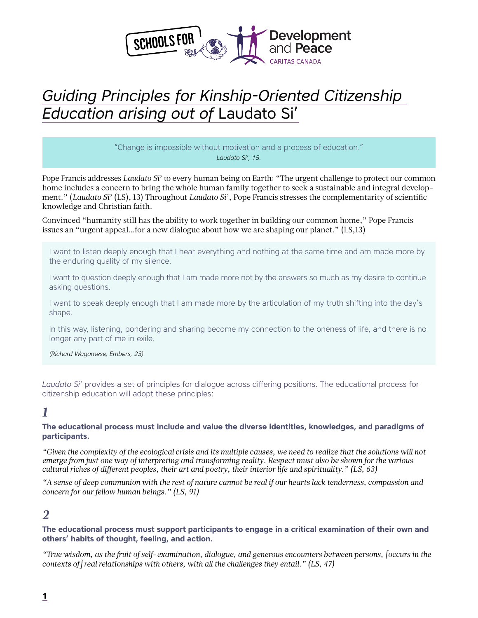

# *Guiding Principles for Kinship-Oriented Citizenship Education arising out of* Laudato Si'

"Change is impossible without motivation and a process of education." *Laudato Si', 15.*

Pope Francis addresses *Laudato Si'* to every human being on Earth: "The urgent challenge to protect our common home includes a concern to bring the whole human family together to seek a sustainable and integral development." (*Laudato Si'* (LS), 13) Throughout *Laudato Si'*, Pope Francis stresses the complementarity of scientific knowledge and Christian faith.

Convinced "humanity still has the ability to work together in building our common home," Pope Francis issues an "urgent appeal…for a new dialogue about how we are shaping our planet." (LS,13)

I want to listen deeply enough that I hear everything and nothing at the same time and am made more by the enduring quality of my silence.

I want to question deeply enough that I am made more not by the answers so much as my desire to continue asking questions.

I want to speak deeply enough that I am made more by the articulation of my truth shifting into the day's shape.

In this way, listening, pondering and sharing become my connection to the oneness of life, and there is no longer any part of me in exile.

*(Richard Wagamese, Embers, 23)*

*Laudato Si'* provides a set of principles for dialogue across differing positions. The educational process for citizenship education will adopt these principles:

### *1*

#### **The educational process must include and value the diverse identities, knowledges, and paradigms of participants.**

*"Given the complexity of the ecological crisis and its multiple causes, we need to realize that the solutions will not emerge from just one way of interpreting and transforming reality. Respect must also be shown for the various cultural riches of different peoples, their art and poetry, their interior life and spirituality." (LS, 63)* 

*"A sense of deep communion with the rest of nature cannot be real if our hearts lack tenderness, compassion and concern for our fellow human beings." (LS, 91)* 

### *2*

#### **The educational process must support participants to engage in a critical examination of their own and others' habits of thought, feeling, and action.**

*"True wisdom, as the fruit of self-examination, dialogue, and generous encounters between persons, [occurs in the contexts of] real relationships with others, with all the challenges they entail." (LS, 47)*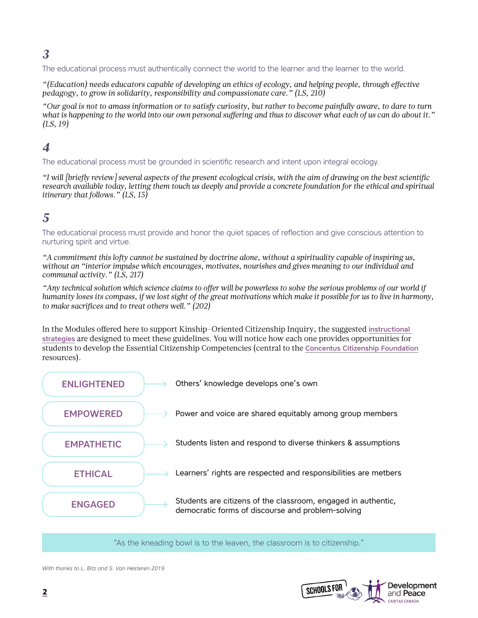## *3*

The educational process must authentically connect the world to the learner and the learner to the world.

*"(Education) needs educators capable of developing an ethics of ecology, and helping people, through effective pedagogy, to grow in solidarity, responsibility and compassionate care." (LS, 210)*

*"Our goal is not to amass information or to satisfy curiosity, but rather to become painfully aware, to dare to turn what is happening to the world into our own personal suffering and thus to discover what each of us can do about it." (LS, 19)*

### *4*

The educational process must be grounded in scientific research and intent upon integral ecology.

*"I will [briefly review] several aspects of the present ecological crisis, with the aim of drawing on the best scientific research available today, letting them touch us deeply and provide a concrete foundation for the ethical and spiritual itinerary that follows." (LS, 15)*

### *5*

The educational process must provide and honor the quiet spaces of reflection and give conscious attention to nurturing spirit and virtue.

*"A commitment this lofty cannot be sustained by doctrine alone, without a spirituality capable of inspiring us, without an "interior impulse which encourages, motivates, nourishes and gives meaning to our individual and communal activity." (LS, 217)*

*"Any technical solution which science claims to offer will be powerless to solve the serious problems of our world if humanity loses its compass, if we lost sight of the great motivations which make it possible for us to live in harmony, to make sacrifices and to treat others well." (202)*

In the Modules offered here to support Kinship-Oriented Citizenship Inquiry, the suggested [instructional](mailto:https://www.concentus.ca/discursive-strategies/?subject=)  [strategies](mailto:https://www.concentus.ca/discursive-strategies/?subject=) are designed to meet these guidelines. You will notice how each one provides opportunities for students to develop the Essential Citizenship Competencies (central to the [Concentus Citizenship Foundation](mailto:https://www.concentus.ca/?subject=) resources).



"As the kneading bowl is to the leaven, the classroom is to citizenship."

*With thanks to L. Bitz and S. Van Hesteren 2019*

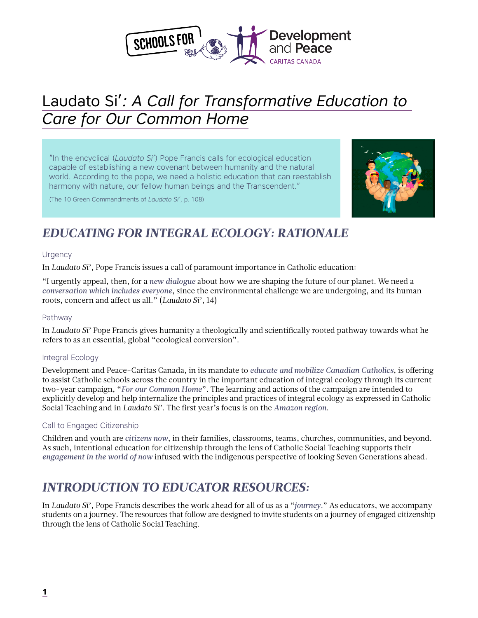

# Laudato Si'*: A Call for Transformative Education to Care for Our Common Home*

"In the encyclical (*Laudato Si'*) Pope Francis calls for ecological education capable of establishing a new covenant between humanity and the natural world. According to the pope, we need a holistic education that can reestablish harmony with nature, our fellow human beings and the Transcendent."

(The 10 Green Commandments of *Laudato Si'*, p. 108)



## *EDUCATING FOR INTEGRAL ECOLOGY: RATIONALE*

### **Urgency**

In *Laudato Si'*, Pope Francis issues a call of paramount importance in Catholic education:

"I urgently appeal, then, for a *new dialogue* about how we are shaping the future of our planet. We need a *conversation which includes everyone*, since the environmental challenge we are undergoing, and its human roots, concern and affect us all." (*Laudato Si'*, 14)

### Pathway

In *Laudato Si'* Pope Francis gives humanity a theologically and scientifically rooted pathway towards what he refers to as an essential, global "ecological conversion".

### Integral Ecology

Development and Peace-Caritas Canada, in its mandate to *educate and mobilize Canadian Catholics*, is offering to assist Catholic schools across the country in the important education of integral ecology through its current two-year campaign, "*For our Common Home*". The learning and actions of the campaign are intended to explicitly develop and help internalize the principles and practices of integral ecology as expressed in Catholic Social Teaching and in *Laudato Si'*. The first year's focus is on the *Amazon region*.

### Call to Engaged Citizenship

Children and youth are *citizens now*, in their families, classrooms, teams, churches, communities, and beyond. As such, intentional education for citizenship through the lens of Catholic Social Teaching supports their *engagement in the world of now* infused with the indigenous perspective of looking Seven Generations ahead.

## *INTRODUCTION TO EDUCATOR RESOURCES:*

In *Laudato Si'*, Pope Francis describes the work ahead for all of us as a "*journey.*" As educators, we accompany students on a journey. The resources that follow are designed to invite students on a journey of engaged citizenship through the lens of Catholic Social Teaching.